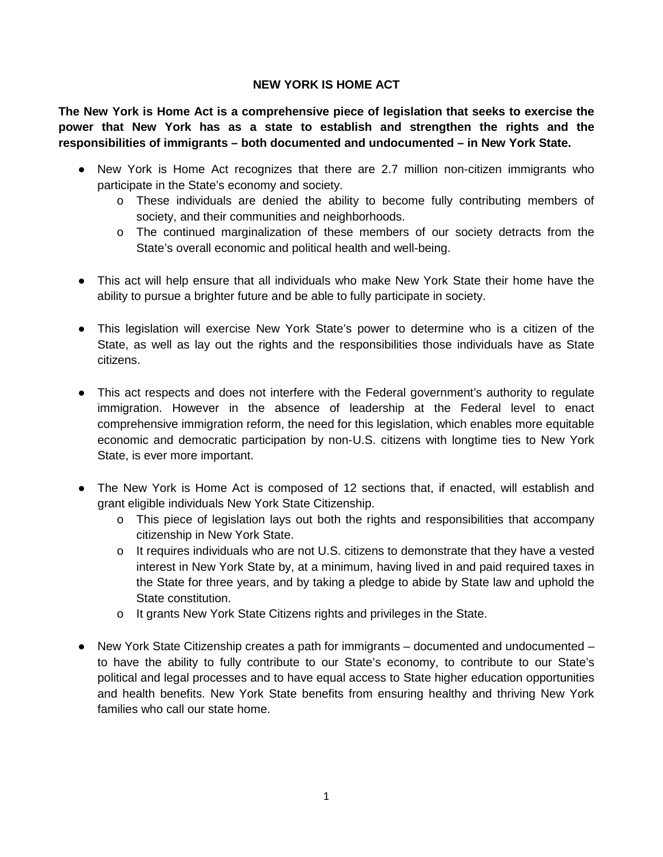## **NEW YORK IS HOME ACT**

**The New York is Home Act is a comprehensive piece of legislation that seeks to exercise the power that New York has as a state to establish and strengthen the rights and the responsibilities of immigrants – both documented and undocumented – in New York State.** 

- New York is Home Act recognizes that there are 2.7 million non-citizen immigrants who participate in the State's economy and society.
	- o These individuals are denied the ability to become fully contributing members of society, and their communities and neighborhoods.
	- o The continued marginalization of these members of our society detracts from the State's overall economic and political health and well-being.
- This act will help ensure that all individuals who make New York State their home have the ability to pursue a brighter future and be able to fully participate in society.
- This legislation will exercise New York State's power to determine who is a citizen of the State, as well as lay out the rights and the responsibilities those individuals have as State citizens.
- This act respects and does not interfere with the Federal government's authority to regulate immigration. However in the absence of leadership at the Federal level to enact comprehensive immigration reform, the need for this legislation, which enables more equitable economic and democratic participation by non-U.S. citizens with longtime ties to New York State, is ever more important.
- The New York is Home Act is composed of 12 sections that, if enacted, will establish and grant eligible individuals New York State Citizenship.
	- o This piece of legislation lays out both the rights and responsibilities that accompany citizenship in New York State.
	- o It requires individuals who are not U.S. citizens to demonstrate that they have a vested interest in New York State by, at a minimum, having lived in and paid required taxes in the State for three years, and by taking a pledge to abide by State law and uphold the State constitution.
	- o It grants New York State Citizens rights and privileges in the State.
- New York State Citizenship creates a path for immigrants documented and undocumented to have the ability to fully contribute to our State's economy, to contribute to our State's political and legal processes and to have equal access to State higher education opportunities and health benefits. New York State benefits from ensuring healthy and thriving New York families who call our state home.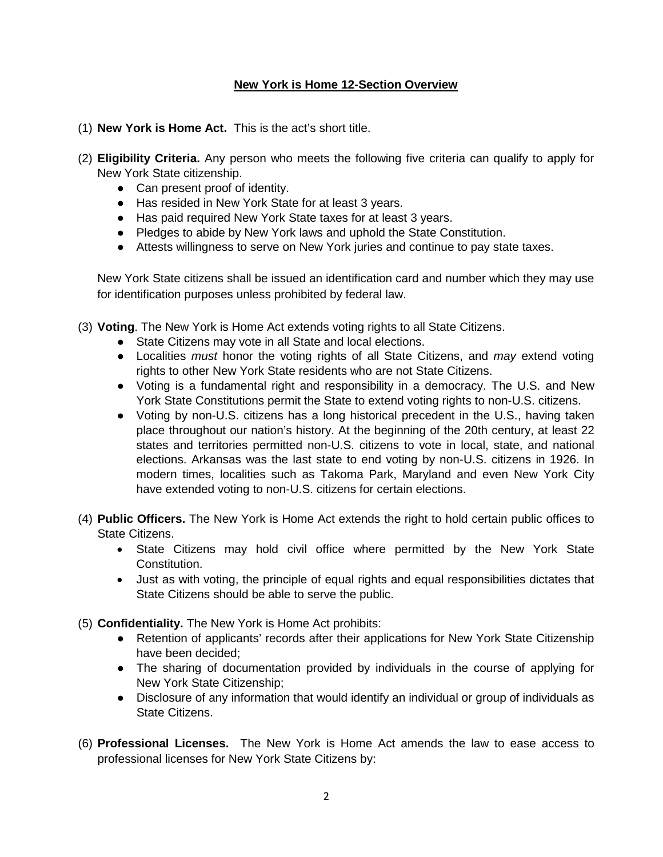## **New York is Home 12-Section Overview**

- (1) **New York is Home Act.** This is the act's short title.
- (2) **Eligibility Criteria.** Any person who meets the following five criteria can qualify to apply for New York State citizenship.
	- Can present proof of identity.
	- Has resided in New York State for at least 3 years.
	- Has paid required New York State taxes for at least 3 years.
	- Pledges to abide by New York laws and uphold the State Constitution.
	- Attests willingness to serve on New York juries and continue to pay state taxes.

New York State citizens shall be issued an identification card and number which they may use for identification purposes unless prohibited by federal law.

- (3) **Voting**. The New York is Home Act extends voting rights to all State Citizens.
	- State Citizens may vote in all State and local elections.
	- Localities *must* honor the voting rights of all State Citizens, and *may* extend voting rights to other New York State residents who are not State Citizens.
	- Voting is a fundamental right and responsibility in a democracy. The U.S. and New York State Constitutions permit the State to extend voting rights to non-U.S. citizens.
	- Voting by non-U.S. citizens has a long historical precedent in the U.S., having taken place throughout our nation's history. At the beginning of the 20th century, at least 22 states and territories permitted non-U.S. citizens to vote in local, state, and national elections. Arkansas was the last state to end voting by non-U.S. citizens in 1926. In modern times, localities such as Takoma Park, Maryland and even New York City have extended voting to non-U.S. citizens for certain elections.
- (4) **Public Officers.** The New York is Home Act extends the right to hold certain public offices to State Citizens.
	- State Citizens may hold civil office where permitted by the New York State Constitution.
	- Just as with voting, the principle of equal rights and equal responsibilities dictates that State Citizens should be able to serve the public.
- (5) **Confidentiality.** The New York is Home Act prohibits:
	- Retention of applicants' records after their applications for New York State Citizenship have been decided;
	- The sharing of documentation provided by individuals in the course of applying for New York State Citizenship;
	- Disclosure of any information that would identify an individual or group of individuals as State Citizens.
- (6) **Professional Licenses.** The New York is Home Act amends the law to ease access to professional licenses for New York State Citizens by: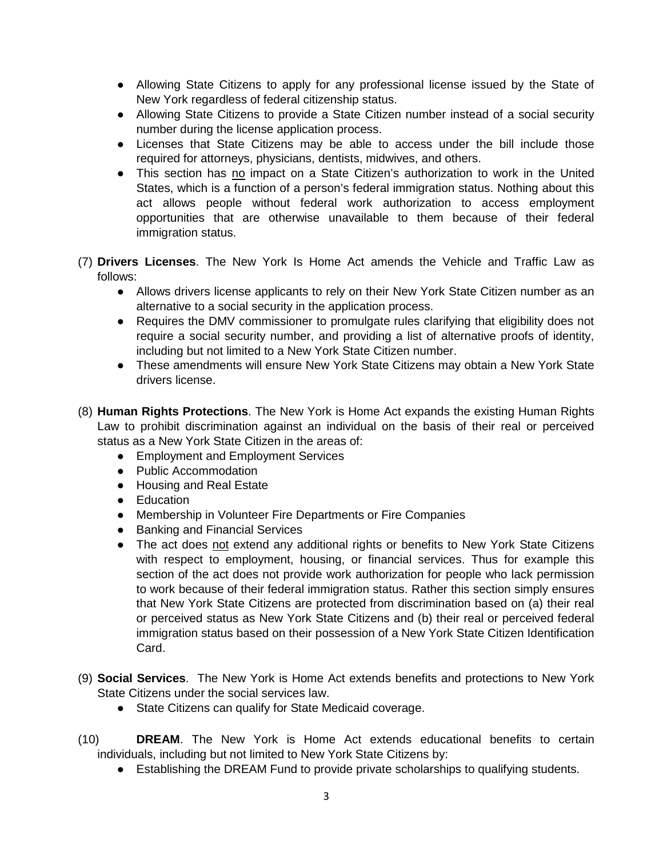- Allowing State Citizens to apply for any professional license issued by the State of New York regardless of federal citizenship status.
- Allowing State Citizens to provide a State Citizen number instead of a social security number during the license application process.
- Licenses that State Citizens may be able to access under the bill include those required for attorneys, physicians, dentists, midwives, and others.
- This section has no impact on a State Citizen's authorization to work in the United States, which is a function of a person's federal immigration status. Nothing about this act allows people without federal work authorization to access employment opportunities that are otherwise unavailable to them because of their federal immigration status.
- (7) **Drivers Licenses**. The New York Is Home Act amends the Vehicle and Traffic Law as follows:
	- Allows drivers license applicants to rely on their New York State Citizen number as an alternative to a social security in the application process.
	- Requires the DMV commissioner to promulgate rules clarifying that eligibility does not require a social security number, and providing a list of alternative proofs of identity, including but not limited to a New York State Citizen number.
	- These amendments will ensure New York State Citizens may obtain a New York State drivers license.
- (8) **Human Rights Protections**. The New York is Home Act expands the existing Human Rights Law to prohibit discrimination against an individual on the basis of their real or perceived status as a New York State Citizen in the areas of:
	- Employment and Employment Services
	- Public Accommodation
	- Housing and Real Estate
	- Education
	- Membership in Volunteer Fire Departments or Fire Companies
	- Banking and Financial Services
	- The act does not extend any additional rights or benefits to New York State Citizens with respect to employment, housing, or financial services. Thus for example this section of the act does not provide work authorization for people who lack permission to work because of their federal immigration status. Rather this section simply ensures that New York State Citizens are protected from discrimination based on (a) their real or perceived status as New York State Citizens and (b) their real or perceived federal immigration status based on their possession of a New York State Citizen Identification Card.
- (9) **Social Services**. The New York is Home Act extends benefits and protections to New York State Citizens under the social services law.
	- State Citizens can qualify for State Medicaid coverage.
- (10) **DREAM**. The New York is Home Act extends educational benefits to certain individuals, including but not limited to New York State Citizens by:
	- Establishing the DREAM Fund to provide private scholarships to qualifying students.